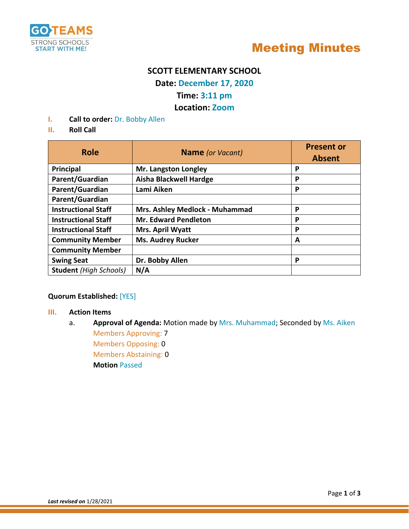



## **SCOTT ELEMENTARY SCHOOL**

**Date: December 17, 2020**

## **Time: 3:11 pm**

## **Location: Zoom**

**I. Call to order:** Dr. Bobby Allen

#### **II. Roll Call**

| <b>Role</b>                   | <b>Name</b> (or Vacant)        | <b>Present or</b><br><b>Absent</b> |
|-------------------------------|--------------------------------|------------------------------------|
| Principal                     | <b>Mr. Langston Longley</b>    | P                                  |
| Parent/Guardian               | <b>Aisha Blackwell Hardge</b>  | P                                  |
| Parent/Guardian               | Lami Aiken                     | P                                  |
| Parent/Guardian               |                                |                                    |
| <b>Instructional Staff</b>    | Mrs. Ashley Medlock - Muhammad | P                                  |
| <b>Instructional Staff</b>    | <b>Mr. Edward Pendleton</b>    | P                                  |
| <b>Instructional Staff</b>    | Mrs. April Wyatt               | P                                  |
| <b>Community Member</b>       | <b>Ms. Audrey Rucker</b>       | A                                  |
| <b>Community Member</b>       |                                |                                    |
| <b>Swing Seat</b>             | Dr. Bobby Allen                | P                                  |
| <b>Student</b> (High Schools) | N/A                            |                                    |

#### **Quorum Established:** [YES]

#### **III. Action Items**

a. **Approval of Agenda:** Motion made by Mrs. Muhammad; Seconded by Ms. Aiken Members Approving: 7

Members Opposing: 0 Members Abstaining: 0 **Motion** Passed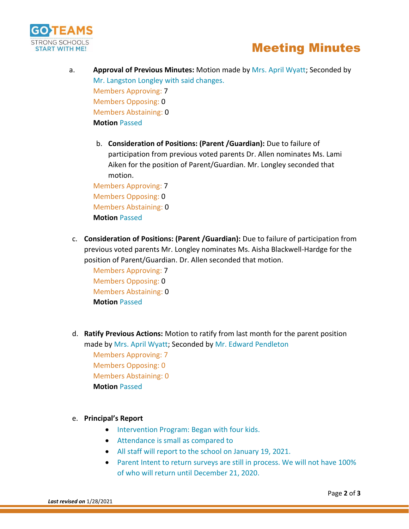

# Meeting Minutes

- a. **Approval of Previous Minutes:** Motion made by Mrs. April Wyatt; Seconded by Mr. Langston Longley with said changes. Members Approving: 7 Members Opposing: 0 Members Abstaining: 0 **Motion** Passed
	- b. **Consideration of Positions: (Parent /Guardian):** Due to failure of participation from previous voted parents Dr. Allen nominates Ms. Lami Aiken for the position of Parent/Guardian. Mr. Longley seconded that motion.

Members Approving: 7 Members Opposing: 0 Members Abstaining: 0 **Motion** Passed

c. **Consideration of Positions: (Parent /Guardian):** Due to failure of participation from previous voted parents Mr. Longley nominates Ms. Aisha Blackwell-Hardge for the position of Parent/Guardian. Dr. Allen seconded that motion.

Members Approving: 7 Members Opposing: 0 Members Abstaining: 0 **Motion** Passed

d. **Ratify Previous Actions:** Motion to ratify from last month for the parent position made by Mrs. April Wyatt; Seconded by Mr. Edward Pendleton Members Approving: 7 Members Opposing: 0 Members Abstaining: 0 **Motion** Passed

#### e. **Principal's Report**

- Intervention Program: Began with four kids.
- Attendance is small as compared to
- All staff will report to the school on January 19, 2021.
- Parent Intent to return surveys are still in process. We will not have 100% of who will return until December 21, 2020.